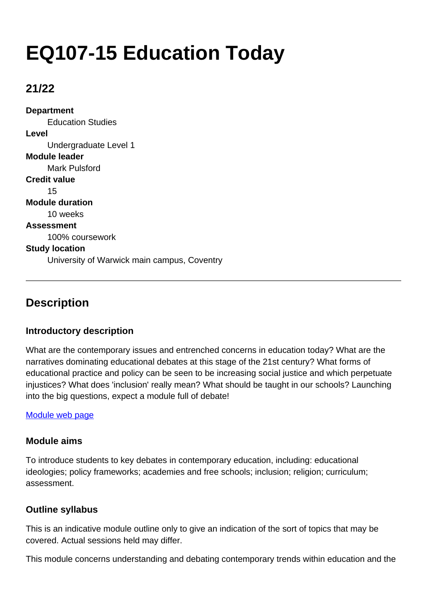# **EQ107-15 Education Today**

# **21/22**

**Department** Education Studies **Level** Undergraduate Level 1 **Module leader** Mark Pulsford **Credit value** 15 **Module duration** 10 weeks **Assessment** 100% coursework **Study location** University of Warwick main campus, Coventry

# **Description**

## **Introductory description**

What are the contemporary issues and entrenched concerns in education today? What are the narratives dominating educational debates at this stage of the 21st century? What forms of educational practice and policy can be seen to be increasing social justice and which perpetuate injustices? What does 'inclusion' really mean? What should be taught in our schools? Launching into the big questions, expect a module full of debate!

#### [Module web page](https://warwick.ac.uk/fac/soc/ces/students/undergraduatemodulelist)

#### **Module aims**

To introduce students to key debates in contemporary education, including: educational ideologies; policy frameworks; academies and free schools; inclusion; religion; curriculum; assessment.

#### **Outline syllabus**

This is an indicative module outline only to give an indication of the sort of topics that may be covered. Actual sessions held may differ.

This module concerns understanding and debating contemporary trends within education and the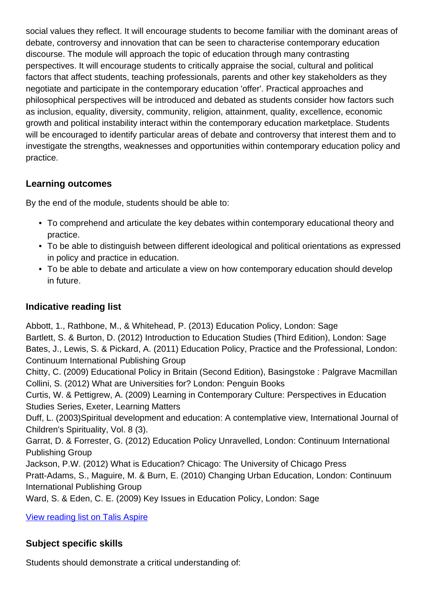social values they reflect. It will encourage students to become familiar with the dominant areas of debate, controversy and innovation that can be seen to characterise contemporary education discourse. The module will approach the topic of education through many contrasting perspectives. It will encourage students to critically appraise the social, cultural and political factors that affect students, teaching professionals, parents and other key stakeholders as they negotiate and participate in the contemporary education 'offer'. Practical approaches and philosophical perspectives will be introduced and debated as students consider how factors such as inclusion, equality, diversity, community, religion, attainment, quality, excellence, economic growth and political instability interact within the contemporary education marketplace. Students will be encouraged to identify particular areas of debate and controversy that interest them and to investigate the strengths, weaknesses and opportunities within contemporary education policy and practice.

# **Learning outcomes**

By the end of the module, students should be able to:

- To comprehend and articulate the key debates within contemporary educational theory and practice.
- To be able to distinguish between different ideological and political orientations as expressed in policy and practice in education.
- To be able to debate and articulate a view on how contemporary education should develop in future.

# **Indicative reading list**

Abbott, 1., Rathbone, M., & Whitehead, P. (2013) Education Policy, London: Sage Bartlett, S. & Burton, D. (2012) Introduction to Education Studies (Third Edition), London: Sage Bates, J., Lewis, S. & Pickard, A. (2011) Education Policy, Practice and the Professional, London: Continuum International Publishing Group

Chitty, C. (2009) Educational Policy in Britain (Second Edition), Basingstoke : Palgrave Macmillan Collini, S. (2012) What are Universities for? London: Penguin Books

Curtis, W. & Pettigrew, A. (2009) Learning in Contemporary Culture: Perspectives in Education Studies Series, Exeter, Learning Matters

Duff, L. (2003)Spiritual development and education: A contemplative view, International Journal of Children's Spirituality, Vol. 8 (3).

Garrat, D. & Forrester, G. (2012) Education Policy Unravelled, London: Continuum International Publishing Group

Jackson, P.W. (2012) What is Education? Chicago: The University of Chicago Press

Pratt-Adams, S., Maguire, M. & Burn, E. (2010) Changing Urban Education, London: Continuum International Publishing Group

Ward, S. & Eden, C. E. (2009) Key Issues in Education Policy, London: Sage

[View reading list on Talis Aspire](https://rl.talis.com/3/warwick/lists/CFF0751B-3705-9128-DEEB-88F5197AE7FB.html?lang=en-GB)

## **Subject specific skills**

Students should demonstrate a critical understanding of: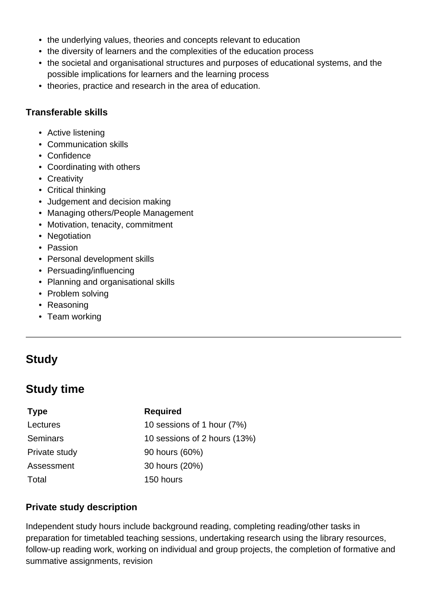- the underlying values, theories and concepts relevant to education
- the diversity of learners and the complexities of the education process
- the societal and organisational structures and purposes of educational systems, and the possible implications for learners and the learning process
- theories, practice and research in the area of education.

#### **Transferable skills**

- Active listening
- Communication skills
- Confidence
- Coordinating with others
- Creativity
- Critical thinking
- Judgement and decision making
- Managing others/People Management
- Motivation, tenacity, commitment
- Negotiation
- Passion
- Personal development skills
- Persuading/influencing
- Planning and organisational skills
- Problem solving
- Reasoning
- Team working

# **Study**

# **Study time**

#### **Type Required**

Total 150 hours

Lectures 10 sessions of 1 hour (7%) Seminars 10 sessions of 2 hours (13%) Private study 90 hours (60%) Assessment 30 hours (20%)

## **Private study description**

Independent study hours include background reading, completing reading/other tasks in preparation for timetabled teaching sessions, undertaking research using the library resources, follow-up reading work, working on individual and group projects, the completion of formative and summative assignments, revision